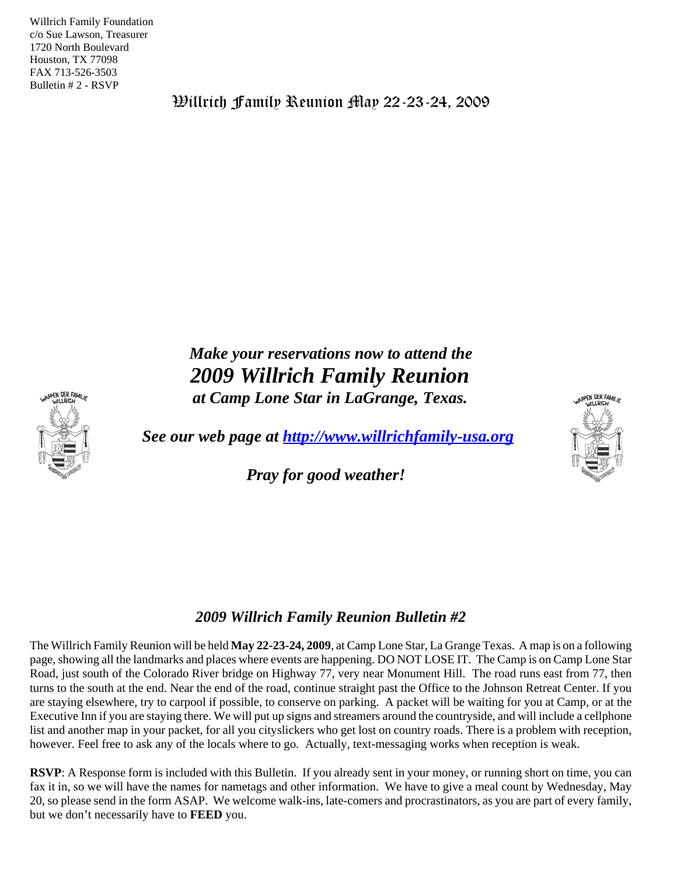Willrich Family Foundation c/o Sue Lawson, Treasurer 1720 North Boulevard Houston, TX 77098 FAX 713-526-3503 Bulletin # 2 - RSVP

Willrich Family Reunion May 22-23-24, 2009

*Make your reservations now to attend the 2009 Willrich Family Reunion at Camp Lone Star in LaGrange, Texas.*

*See our web page at http://www.willrichfamily-usa.org*

*Pray for good weather!* 

## *2009 Willrich Family Reunion Bulletin #2*

The Willrich Family Reunion will be held **May 22-23-24, 2009**, at Camp Lone Star, La Grange Texas. A map is on a following page, showing all the landmarks and places where events are happening. DO NOT LOSE IT. The Camp is on Camp Lone Star Road, just south of the Colorado River bridge on Highway 77, very near Monument Hill. The road runs east from 77, then turns to the south at the end. Near the end of the road, continue straight past the Office to the Johnson Retreat Center. If you are staying elsewhere, try to carpool if possible, to conserve on parking. A packet will be waiting for you at Camp, or at the Executive Inn if you are staying there. We will put up signs and streamers around the countryside, and will include a cellphone list and another map in your packet, for all you cityslickers who get lost on country roads. There is a problem with reception, however. Feel free to ask any of the locals where to go. Actually, text-messaging works when reception is weak.

**RSVP**: A Response form is included with this Bulletin. If you already sent in your money, or running short on time, you can fax it in, so we will have the names for nametags and other information. We have to give a meal count by Wednesday, May 20, so please send in the form ASAP. We welcome walk-ins, late-comers and procrastinators, as you are part of every family, but we don't necessarily have to **FEED** you.



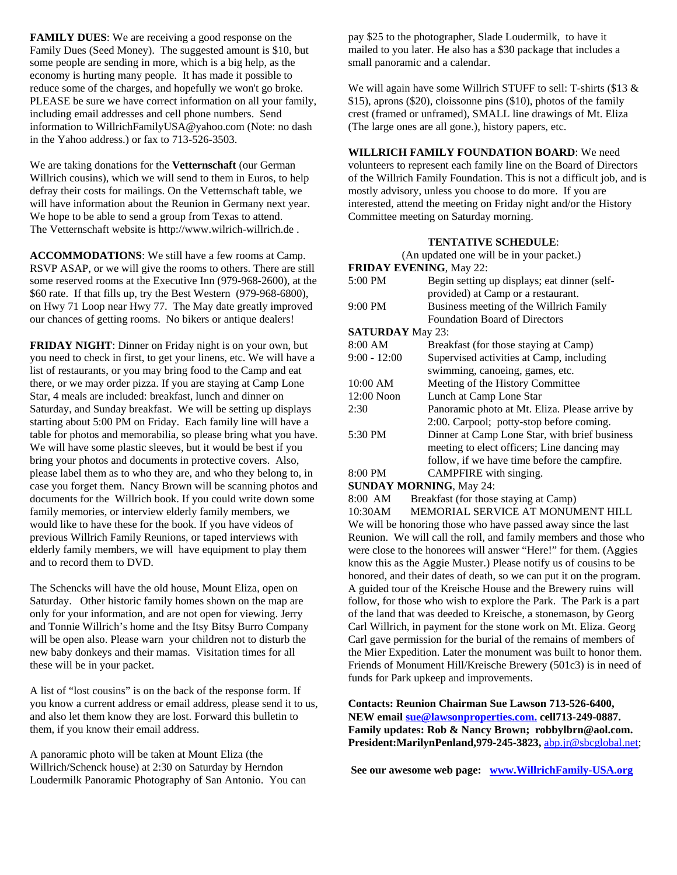**FAMILY DUES**: We are receiving a good response on the Family Dues (Seed Money). The suggested amount is \$10, but some people are sending in more, which is a big help, as the economy is hurting many people. It has made it possible to reduce some of the charges, and hopefully we won't go broke. PLEASE be sure we have correct information on all your family, including email addresses and cell phone numbers. Send information to WillrichFamilyUSA@yahoo.com (Note: no dash in the Yahoo address.) or fax to 713-526-3503.

We are taking donations for the **Vetternschaft** (our German Willrich cousins), which we will send to them in Euros, to help defray their costs for mailings. On the Vetternschaft table, we will have information about the Reunion in Germany next year. We hope to be able to send a group from Texas to attend. The Vetternschaft website is http://www.wilrich-willrich.de .

**ACCOMMODATIONS**: We still have a few rooms at Camp. RSVP ASAP, or we will give the rooms to others. There are still some reserved rooms at the Executive Inn (979-968-2600), at the \$60 rate. If that fills up, try the Best Western (979-968-6800), on Hwy 71 Loop near Hwy 77. The May date greatly improved our chances of getting rooms. No bikers or antique dealers!

**FRIDAY NIGHT**: Dinner on Friday night is on your own, but you need to check in first, to get your linens, etc. We will have a list of restaurants, or you may bring food to the Camp and eat there, or we may order pizza. If you are staying at Camp Lone Star, 4 meals are included: breakfast, lunch and dinner on Saturday, and Sunday breakfast. We will be setting up displays starting about 5:00 PM on Friday. Each family line will have a table for photos and memorabilia, so please bring what you have. We will have some plastic sleeves, but it would be best if you bring your photos and documents in protective covers. Also, please label them as to who they are, and who they belong to, in case you forget them. Nancy Brown will be scanning photos and documents for the Willrich book. If you could write down some family memories, or interview elderly family members, we would like to have these for the book. If you have videos of previous Willrich Family Reunions, or taped interviews with elderly family members, we will have equipment to play them and to record them to DVD.

The Schencks will have the old house, Mount Eliza, open on Saturday. Other historic family homes shown on the map are only for your information, and are not open for viewing. Jerry and Tonnie Willrich's home and the Itsy Bitsy Burro Company will be open also. Please warn your children not to disturb the new baby donkeys and their mamas. Visitation times for all these will be in your packet.

A list of "lost cousins" is on the back of the response form. If you know a current address or email address, please send it to us, and also let them know they are lost. Forward this bulletin to them, if you know their email address.

A panoramic photo will be taken at Mount Eliza (the Willrich/Schenck house) at 2:30 on Saturday by Herndon Loudermilk Panoramic Photography of San Antonio. You can pay \$25 to the photographer, Slade Loudermilk, to have it mailed to you later. He also has a \$30 package that includes a small panoramic and a calendar.

We will again have some Willrich STUFF to sell: T-shirts (\$13 & \$15), aprons (\$20), cloissonne pins (\$10), photos of the family crest (framed or unframed), SMALL line drawings of Mt. Eliza (The large ones are all gone.), history papers, etc.

### **WILLRICH FAMILY FOUNDATION BOARD**: We need

volunteers to represent each family line on the Board of Directors of the Willrich Family Foundation. This is not a difficult job, and is mostly advisory, unless you choose to do more. If you are interested, attend the meeting on Friday night and/or the History Committee meeting on Saturday morning.

#### **TENTATIVE SCHEDULE**:

| (An updated one will be in your packet.) |                                                |  |  |  |  |
|------------------------------------------|------------------------------------------------|--|--|--|--|
| <b>FRIDAY EVENING, May 22:</b>           |                                                |  |  |  |  |
| 5:00 PM                                  | Begin setting up displays; eat dinner (self-   |  |  |  |  |
|                                          | provided) at Camp or a restaurant.             |  |  |  |  |
| 9:00 PM                                  | Business meeting of the Willrich Family        |  |  |  |  |
|                                          | <b>Foundation Board of Directors</b>           |  |  |  |  |
| <b>SATURDAY</b> May 23:                  |                                                |  |  |  |  |
| 8:00 AM                                  | Breakfast (for those staying at Camp)          |  |  |  |  |
| $9:00 - 12:00$                           | Supervised activities at Camp, including       |  |  |  |  |
|                                          | swimming, canoeing, games, etc.                |  |  |  |  |
| 10:00 AM                                 | Meeting of the History Committee               |  |  |  |  |
| $12:00$ Noon                             | Lunch at Camp Lone Star                        |  |  |  |  |
| 2:30                                     | Panoramic photo at Mt. Eliza. Please arrive by |  |  |  |  |
|                                          | 2:00. Carpool; potty-stop before coming.       |  |  |  |  |
| 5:30 PM                                  | Dinner at Camp Lone Star, with brief business  |  |  |  |  |
|                                          | meeting to elect officers; Line dancing may    |  |  |  |  |
|                                          | follow, if we have time before the campfire.   |  |  |  |  |
| 8:00 PM                                  | CAMPFIRE with singing.                         |  |  |  |  |

## **SUNDAY MORNING**, May 24:

8:00 AM Breakfast (for those staying at Camp) 10:30AM MEMORIAL SERVICE AT MONUMENT HILL We will be honoring those who have passed away since the last Reunion. We will call the roll, and family members and those who were close to the honorees will answer "Here!" for them. (Aggies know this as the Aggie Muster.) Please notify us of cousins to be honored, and their dates of death, so we can put it on the program. A guided tour of the Kreische House and the Brewery ruins will follow, for those who wish to explore the Park. The Park is a part of the land that was deeded to Kreische, a stonemason, by Georg Carl Willrich, in payment for the stone work on Mt. Eliza. Georg Carl gave permission for the burial of the remains of members of the Mier Expedition. Later the monument was built to honor them. Friends of Monument Hill/Kreische Brewery (501c3) is in need of funds for Park upkeep and improvements.

**Contacts: Reunion Chairman Sue Lawson 713-526-6400, NEW email sue@lawsonproperties.com. cell713-249-0887. Family updates: Rob & Nancy Brown; robbylbrn@aol.com. President:MarilynPenland,979-245-3823,** abp.jr@sbcglobal.net;

**See our awesome web page: www.WillrichFamily-USA.org**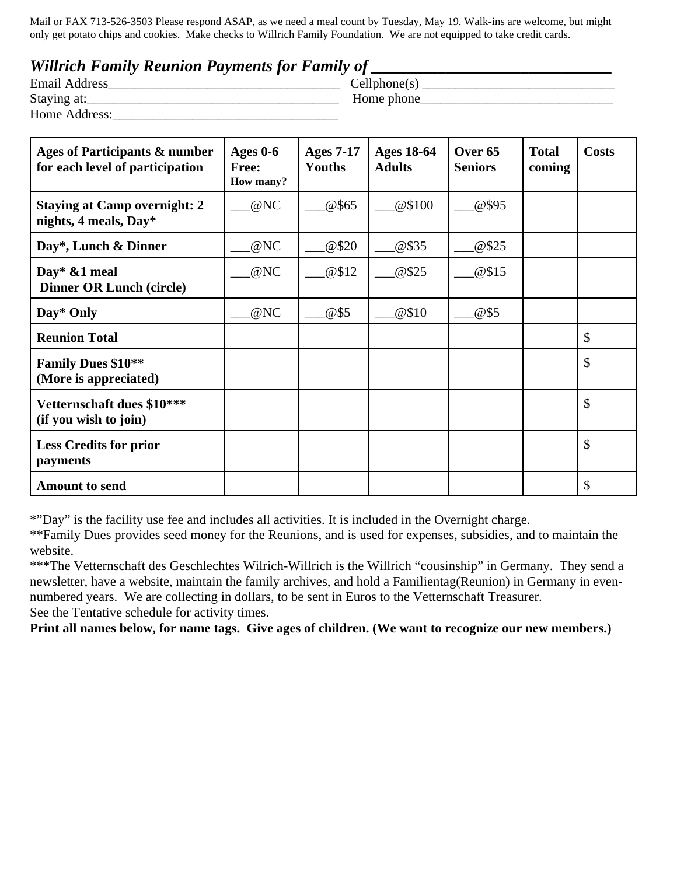Mail or FAX 713-526-3503 Please respond ASAP, as we need a meal count by Tuesday, May 19. Walk-ins are welcome, but might only get potato chips and cookies. Make checks to Willrich Family Foundation. We are not equipped to take credit cards.

# *Willrich Family Reunion Payments for Family of*

| <b>Email Address</b> |  | Cellphone(s) |  |
|----------------------|--|--------------|--|
| Staying at:          |  | Home phone   |  |
| Home Address:        |  |              |  |

| Ages of Participants & number<br>for each level of participation | Ages $0-6$<br>Free:<br>How many? | <b>Ages 7-17</b><br>Youths | <b>Ages 18-64</b><br><b>Adults</b> | Over 65<br><b>Seniors</b> | <b>Total</b><br>coming | <b>Costs</b> |
|------------------------------------------------------------------|----------------------------------|----------------------------|------------------------------------|---------------------------|------------------------|--------------|
| <b>Staying at Camp overnight: 2</b><br>nights, 4 meals, Day*     | @NC                              | @\$65                      | @\$100                             | @\$95                     |                        |              |
| Day*, Lunch & Dinner                                             | @NC                              | @520                       | @\$35                              | @\$25                     |                        |              |
| Day* &1 meal<br><b>Dinner OR Lunch (circle)</b>                  | @NC                              | @\$12                      | @\$25                              | @\$15                     |                        |              |
| Day* Only                                                        | @NC                              | @\$5                       | @\$10                              | @\$5                      |                        |              |
| <b>Reunion Total</b>                                             |                                  |                            |                                    |                           |                        | \$           |
| <b>Family Dues \$10**</b><br>(More is appreciated)               |                                  |                            |                                    |                           |                        | \$           |
| Vetternschaft dues \$10***<br>(if you wish to join)              |                                  |                            |                                    |                           |                        | \$           |
| <b>Less Credits for prior</b><br>payments                        |                                  |                            |                                    |                           |                        | \$           |
| <b>Amount to send</b>                                            |                                  |                            |                                    |                           |                        | \$           |

\*"Day" is the facility use fee and includes all activities. It is included in the Overnight charge.

\*\*Family Dues provides seed money for the Reunions, and is used for expenses, subsidies, and to maintain the website.

\*\*\*The Vetternschaft des Geschlechtes Wilrich-Willrich is the Willrich "cousinship" in Germany. They send a newsletter, have a website, maintain the family archives, and hold a Familientag(Reunion) in Germany in evennumbered years. We are collecting in dollars, to be sent in Euros to the Vetternschaft Treasurer. See the Tentative schedule for activity times.

**Print all names below, for name tags. Give ages of children. (We want to recognize our new members.)**